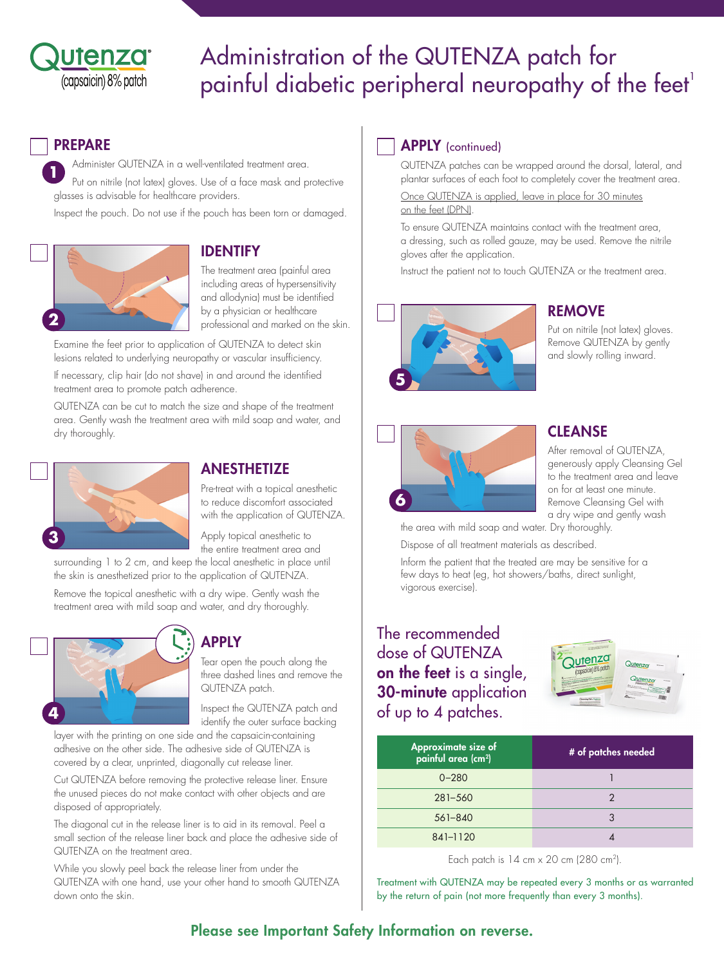

# Administration of the QUTENZA patch for painful diabetic peripheral neuropathy of the feet<sup>1</sup>

## PREPARE

**1** Administer QUTENZA in a well-ventilated treatment area. Put on nitrile (not latex) gloves. Use of a face mask and protective glasses is advisable for healthcare providers. Inspect the pouch. Do not use if the pouch has been torn or damaged.



# IDENTIFY

The treatment area (painful area including areas of hypersensitivity and allodynia) must be identified by a physician or healthcare professional and marked on the skin.

Examine the feet prior to application of QUTENZA to detect skin lesions related to underlying neuropathy or vascular insufficiency.

If necessary, clip hair (do not shave) in and around the identified treatment area to promote patch adherence.

QUTENZA can be cut to match the size and shape of the treatment area. Gently wash the treatment area with mild soap and water, and dry thoroughly.



## **ANESTHETIZE**

Pre-treat with a topical anesthetic to reduce discomfort associated with the application of QUTENZA.

Apply topical anesthetic to the entire treatment area and

surrounding 1 to 2 cm, and keep the local anesthetic in place until the skin is anesthetized prior to the application of QUTENZA.

Remove the topical anesthetic with a dry wipe. Gently wash the treatment area with mild soap and water, and dry thoroughly.



## APPLY

Tear open the pouch along the three dashed lines and remove the QUTENZA patch.

Inspect the QUTENZA patch and identify the outer surface backing

layer with the printing on one side and the capsaicin-containing adhesive on the other side. The adhesive side of QUTENZA is covered by a clear, unprinted, diagonally cut release liner.

Cut QUTENZA before removing the protective release liner. Ensure the unused pieces do not make contact with other objects and are disposed of appropriately.

The diagonal cut in the release liner is to aid in its removal. Peel a small section of the release liner back and place the adhesive side of QUTENZA on the treatment area.

While you slowly peel back the release liner from under the QUTENZA with one hand, use your other hand to smooth QUTENZA down onto the skin.

## **APPLY** (continued)

QUTENZA patches can be wrapped around the dorsal, lateral, and plantar surfaces of each foot to completely cover the treatment area.

Once QUTENZA is applied, leave in place for 30 minutes on the feet (DPN).

To ensure QUTENZA maintains contact with the treatment area, a dressing, such as rolled gauze, may be used. Remove the nitrile gloves after the application.

Instruct the patient not to touch QUTENZA or the treatment area.



## REMOVE

Put on nitrile (not latex) gloves. Remove QUTENZA by gently and slowly rolling inward.



## **CLEANSE**

After removal of QUTENZA, generously apply Cleansing Gel to the treatment area and leave on for at least one minute. Remove Cleansing Gel with a dry wipe and gently wash

the area with mild soap and water. Dry thoroughly. Dispose of all treatment materials as described.

Inform the patient that the treated are may be sensitive for a few days to heat (eg, hot showers/baths, direct sunlight, vigorous exercise).

# The recommended dose of QUTENZA on the feet is a single, 30-minute application of up to 4 patches.



| Approximate size of<br>painful area (cm <sup>2</sup> ) | # of patches needed |
|--------------------------------------------------------|---------------------|
| $0 - 280$                                              |                     |
| $281 - 560$                                            |                     |
| $561 - 840$                                            |                     |
| 841-1120                                               |                     |

Each patch is  $14 \text{ cm} \times 20 \text{ cm}$  (280 cm<sup>2</sup>).

Treatment with QUTENZA may be repeated every 3 months or as warranted by the return of pain (not more frequently than every 3 months).

## Please see Important Safety Information on reverse.